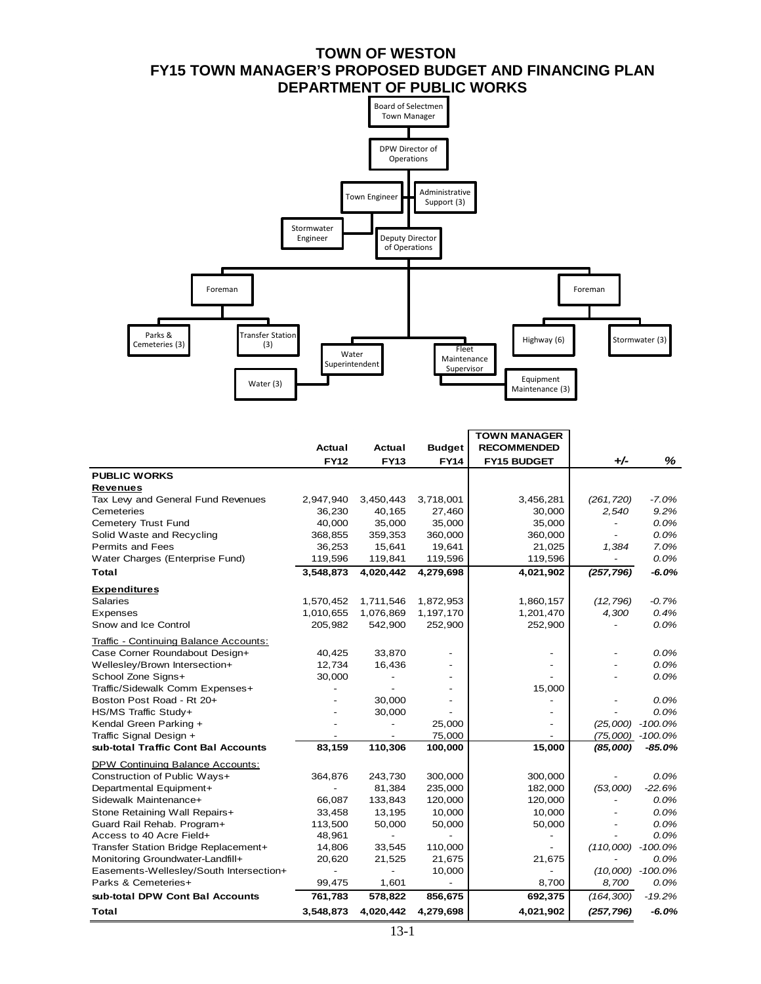# **TOWN OF WESTON FY15 TOWN MANAGER'S PROPOSED BUDGET AND FINANCING PLAN DEPARTMENT OF PUBLIC WORKS**



|                                         |                          |                          |               | <b>TOWN MANAGER</b>      |                          |                    |
|-----------------------------------------|--------------------------|--------------------------|---------------|--------------------------|--------------------------|--------------------|
|                                         | Actual                   | Actual                   | <b>Budget</b> | <b>RECOMMENDED</b>       |                          |                    |
|                                         | <b>FY12</b>              | <b>FY13</b>              | <b>FY14</b>   | <b>FY15 BUDGET</b>       | $+/-$                    | %                  |
| <b>PUBLIC WORKS</b>                     |                          |                          |               |                          |                          |                    |
| <b>Revenues</b>                         |                          |                          |               |                          |                          |                    |
| Tax Lew and General Fund Revenues       | 2,947,940                | 3,450,443                | 3,718,001     | 3,456,281                | (261, 720)               | $-7.0%$            |
| Cemeteries                              | 36,230                   | 40,165                   | 27,460        | 30,000                   | 2,540                    | 9.2%               |
| Cemetery Trust Fund                     | 40,000                   | 35,000                   | 35,000        | 35,000                   | $\overline{\phantom{a}}$ | 0.0%               |
| Solid Waste and Recycling               | 368,855                  | 359,353                  | 360,000       | 360,000                  | $\overline{\phantom{a}}$ | 0.0%               |
| <b>Permits and Fees</b>                 | 36,253                   | 15,641                   | 19,641        | 21,025                   | 1,384                    | 7.0%               |
| Water Charges (Enterprise Fund)         | 119,596                  | 119,841                  | 119,596       | 119,596                  |                          | 0.0%               |
| Total                                   | 3,548,873                | 4,020,442                | 4,279,698     | 4,021,902                | (257, 796)               | $-6.0%$            |
| <b>Expenditures</b>                     |                          |                          |               |                          |                          |                    |
| <b>Salaries</b>                         | 1,570,452                | 1,711,546                | 1,872,953     | 1,860,157                | (12, 796)                | $-0.7%$            |
| Expenses                                | 1,010,655                | 1,076,869                | 1,197,170     | 1,201,470                | 4,300                    | 0.4%               |
| Snow and Ice Control                    | 205,982                  | 542,900                  | 252,900       | 252,900                  |                          | 0.0%               |
| Traffic - Continuing Balance Accounts:  |                          |                          |               |                          |                          |                    |
| Case Corner Roundabout Design+          | 40,425                   | 33,870                   |               |                          |                          | $0.0\%$            |
| Wellesley/Brown Intersection+           | 12,734                   | 16,436                   |               |                          |                          | 0.0%               |
| School Zone Signs+                      | 30,000                   |                          |               |                          |                          | 0.0%               |
| Traffic/Sidewalk Comm Expenses+         |                          |                          |               | 15,000                   |                          |                    |
| Boston Post Road - Rt 20+               |                          | 30.000                   |               |                          |                          | 0.0%               |
| HS/MS Traffic Study+                    |                          | 30,000                   |               |                          |                          | 0.0%               |
| Kendal Green Parking +                  |                          | $\overline{\phantom{0}}$ | 25,000        |                          | (25,000)                 | $-100.0%$          |
| Traffic Signal Design +                 | $\overline{\phantom{a}}$ | $\overline{\phantom{a}}$ | 75,000        | $\overline{a}$           |                          | $(75,000)$ -100.0% |
| sub-total Traffic Cont Bal Accounts     | 83,159                   | 110,306                  | 100,000       | 15,000                   | (85,000)                 | $-85.0%$           |
| DPW Continuing Balance Accounts:        |                          |                          |               |                          |                          |                    |
| Construction of Public Ways+            | 364,876                  | 243,730                  | 300,000       | 300,000                  |                          | 0.0%               |
| Departmental Equipment+                 |                          | 81,384                   | 235,000       | 182,000                  | (53,000)                 | $-22.6%$           |
| Sidewalk Maintenance+                   | 66,087                   | 133,843                  | 120,000       | 120,000                  | $\overline{\phantom{a}}$ | 0.0%               |
| Stone Retaining Wall Repairs+           | 33,458                   | 13,195                   | 10,000        | 10,000                   |                          | 0.0%               |
| Guard Rail Rehab. Program+              | 113,500                  | 50,000                   | 50,000        | 50,000                   |                          | 0.0%               |
| Access to 40 Acre Field+                | 48,961                   | $\overline{\phantom{0}}$ |               | $\overline{a}$           |                          | 0.0%               |
| Transfer Station Bridge Replacement+    | 14,806                   | 33,545                   | 110,000       | $\overline{\phantom{0}}$ | (110,000)                | $-100.0%$          |
| Monitoring Groundwater-Landfill+        | 20,620                   | 21,525                   | 21,675        | 21,675                   |                          | 0.0%               |
| Easements-Wellesley/South Intersection+ |                          |                          | 10,000        |                          |                          | $(10,000)$ -100.0% |
| Parks & Cemeteries+                     | 99,475                   | 1,601                    |               | 8,700                    | 8,700                    | 0.0%               |
| sub-total DPW Cont Bal Accounts         | 761,783                  | 578,822                  | 856,675       | 692,375                  | (164, 300)               | $-19.2%$           |
| Total                                   | 3,548,873                | 4,020,442                | 4,279,698     | 4,021,902                | (257, 796)               | $-6.0%$            |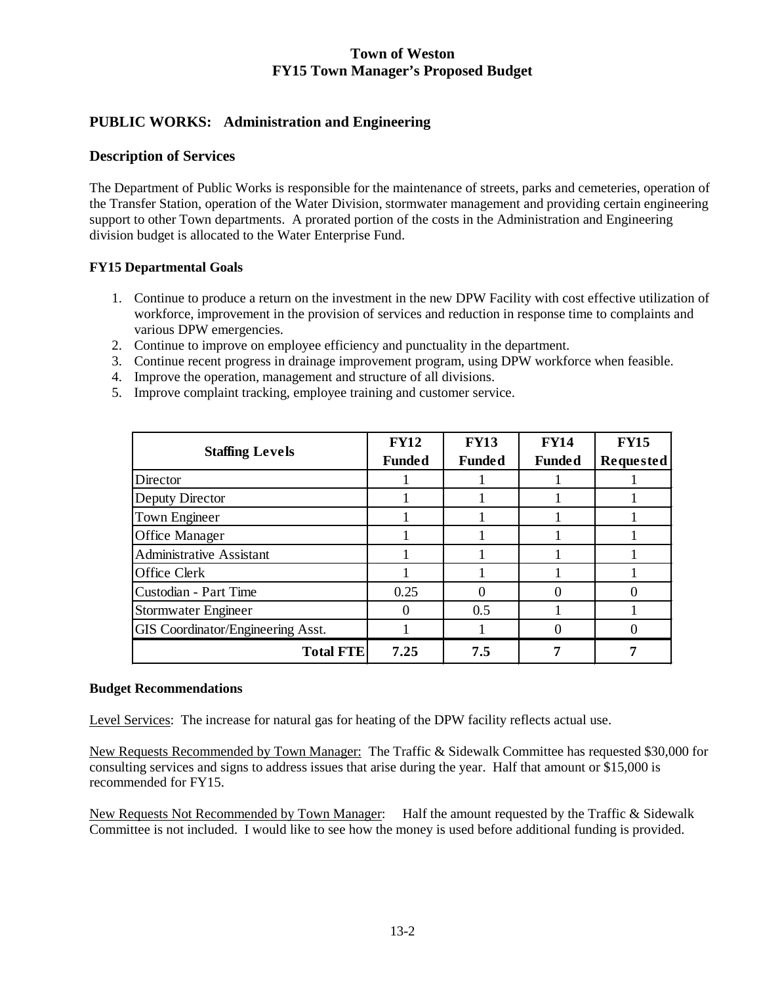## **PUBLIC WORKS: Administration and Engineering**

## **Description of Services**

The Department of Public Works is responsible for the maintenance of streets, parks and cemeteries, operation of the Transfer Station, operation of the Water Division, stormwater management and providing certain engineering support to other Town departments. A prorated portion of the costs in the Administration and Engineering division budget is allocated to the Water Enterprise Fund.

#### **FY15 Departmental Goals**

- 1. Continue to produce a return on the investment in the new DPW Facility with cost effective utilization of workforce, improvement in the provision of services and reduction in response time to complaints and various DPW emergencies.
- 2. Continue to improve on employee efficiency and punctuality in the department.
- 3. Continue recent progress in drainage improvement program, using DPW workforce when feasible.
- 4. Improve the operation, management and structure of all divisions.
- 5. Improve complaint tracking, employee training and customer service.

| <b>Staffing Levels</b>            | <b>FY12</b><br><b>Funded</b> | <b>FY13</b><br><b>Funded</b> | <b>FY14</b><br><b>Funded</b> | <b>FY15</b><br>Requested |
|-----------------------------------|------------------------------|------------------------------|------------------------------|--------------------------|
| Director                          |                              |                              |                              |                          |
| Deputy Director                   |                              |                              |                              |                          |
| Town Engineer                     |                              |                              |                              |                          |
| Office Manager                    |                              |                              |                              |                          |
| <b>Administrative Assistant</b>   |                              |                              |                              |                          |
| Office Clerk                      |                              |                              |                              |                          |
| Custodian - Part Time             | 0.25                         | $\Omega$                     |                              |                          |
| Stormwater Engineer               |                              | 0.5                          |                              |                          |
| GIS Coordinator/Engineering Asst. |                              |                              |                              |                          |
| <b>Total FTE</b>                  | 7.25                         | 7.5                          |                              |                          |

#### **Budget Recommendations**

Level Services: The increase for natural gas for heating of the DPW facility reflects actual use.

New Requests Recommended by Town Manager: The Traffic & Sidewalk Committee has requested \$30,000 for consulting services and signs to address issues that arise during the year. Half that amount or \$15,000 is recommended for FY15.

New Requests Not Recommended by Town Manager: Half the amount requested by the Traffic & Sidewalk Committee is not included. I would like to see how the money is used before additional funding is provided.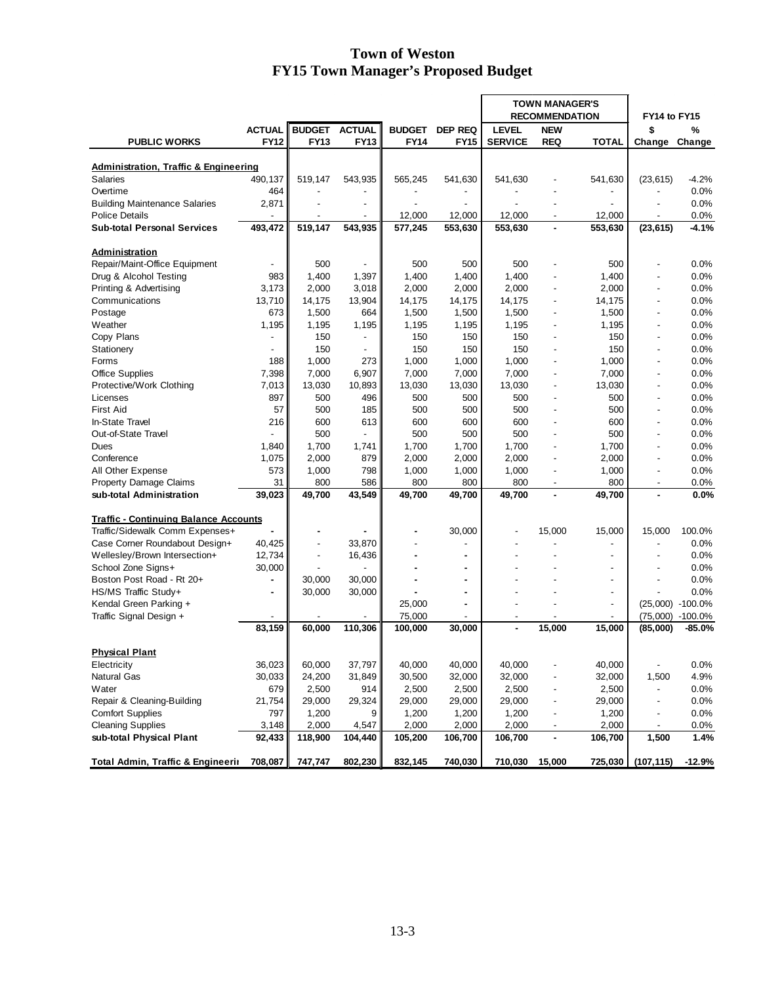|                                                               |                |                          |                          |               |                          | <b>TOWN MANAGER'S</b><br><b>RECOMMENDATION</b> |                          |                          | FY14 to FY15             |                  |
|---------------------------------------------------------------|----------------|--------------------------|--------------------------|---------------|--------------------------|------------------------------------------------|--------------------------|--------------------------|--------------------------|------------------|
|                                                               | <b>ACTUAL</b>  | <b>BUDGET ACTUAL</b>     |                          | <b>BUDGET</b> | <b>DEP REQ</b>           | <b>LEVEL</b>                                   | <b>NEW</b>               |                          | \$                       | %                |
| <b>PUBLIC WORKS</b>                                           | <b>FY12</b>    | <b>FY13</b>              | FY13                     | <b>FY14</b>   | <b>FY15</b>              | <b>SERVICE</b>                                 | <b>REQ</b>               | <b>TOTAL</b>             | Change                   |                  |
|                                                               |                |                          |                          |               |                          |                                                |                          |                          |                          | Change           |
|                                                               |                |                          |                          |               |                          |                                                |                          |                          |                          |                  |
| <b>Administration, Traffic &amp; Engineering</b>              |                |                          |                          |               |                          |                                                |                          |                          |                          |                  |
| Salaries<br>Overtime                                          | 490,137<br>464 | 519.147                  | 543,935                  | 565,245       | 541,630                  | 541,630                                        |                          | 541,630                  | (23, 615)                | $-4.2%$          |
|                                                               |                |                          |                          |               |                          |                                                | $\overline{a}$           | $\frac{1}{2}$            |                          | 0.0%             |
| <b>Building Maintenance Salaries</b><br><b>Police Details</b> | 2,871          |                          |                          | 12,000        | 12,000                   | 12,000                                         |                          | 12,000                   |                          | 0.0%             |
| <b>Sub-total Personal Services</b>                            | 493,472        | 519,147                  | 543,935                  | 577,245       | 553,630                  | 553,630                                        | $\blacksquare$           | 553,630                  | (23, 615)                | 0.0%<br>$-4.1%$  |
|                                                               |                |                          |                          |               |                          |                                                |                          |                          |                          |                  |
| <b>Administration</b>                                         |                |                          |                          |               |                          |                                                |                          |                          |                          |                  |
| Repair/Maint-Office Equipment                                 |                | 500                      |                          | 500           | 500                      | 500                                            | $\overline{a}$           | 500                      |                          | 0.0%             |
| Drug & Alcohol Testing                                        | 983            | 1,400                    | 1,397                    | 1,400         | 1,400                    | 1,400                                          |                          | 1,400                    |                          | 0.0%             |
| Printing & Advertising                                        | 3,173          | 2,000                    | 3,018                    | 2,000         | 2,000                    | 2,000                                          | $\frac{1}{2}$            | 2,000                    | $\overline{\phantom{a}}$ | 0.0%             |
| Communications                                                | 13,710         | 14,175                   | 13,904                   | 14,175        | 14,175                   | 14,175                                         | $\overline{a}$           | 14,175                   |                          | $0.0\%$          |
| Postage                                                       | 673            | 1,500                    | 664                      | 1,500         | 1,500                    | 1,500                                          | $\blacksquare$           | 1,500                    |                          | 0.0%             |
| Weather                                                       | 1,195          | 1,195                    | 1,195                    | 1,195         | 1,195                    | 1,195                                          | $\overline{a}$           | 1,195                    | $\overline{a}$           | 0.0%             |
|                                                               |                | 150                      | $\overline{\phantom{a}}$ |               |                          | 150                                            |                          | 150                      |                          |                  |
| Copy Plans                                                    |                |                          | $\overline{a}$           | 150           | 150                      |                                                | $\overline{a}$           |                          | $\overline{\phantom{a}}$ | 0.0%             |
| Stationery                                                    |                | 150                      |                          | 150           | 150                      | 150                                            |                          | 150                      |                          | 0.0%             |
| Forms                                                         | 188            | 1,000                    | 273                      | 1,000         | 1,000                    | 1,000                                          | $\overline{\phantom{0}}$ | 1,000                    |                          | 0.0%             |
| <b>Office Supplies</b>                                        | 7,398          | 7,000                    | 6,907                    | 7,000         | 7,000                    | 7,000                                          | $\overline{\phantom{0}}$ | 7,000                    |                          | 0.0%             |
| Protective/Work Clothing                                      | 7,013          | 13,030                   | 10,893                   | 13,030        | 13,030                   | 13,030                                         | ä,                       | 13,030                   |                          | 0.0%             |
| Licenses                                                      | 897            | 500                      | 496                      | 500           | 500                      | 500                                            | $\overline{a}$           | 500                      |                          | 0.0%             |
| <b>First Aid</b>                                              | 57             | 500                      | 185                      | 500           | 500                      | 500                                            |                          | 500                      |                          | 0.0%             |
| In-State Travel                                               | 216            | 600                      | 613                      | 600           | 600                      | 600                                            | $\overline{\phantom{a}}$ | 600                      | $\overline{\phantom{a}}$ | 0.0%             |
| Out-of-State Travel                                           |                | 500                      |                          | 500           | 500                      | 500                                            |                          | 500                      |                          | 0.0%             |
| Dues                                                          | 1,840          | 1,700                    | 1,741                    | 1,700         | 1,700                    | 1,700                                          | $\overline{a}$           | 1,700                    | $\overline{\phantom{a}}$ | 0.0%             |
| Conference                                                    | 1,075          | 2,000                    | 879                      | 2,000         | 2,000                    | 2,000                                          | $\overline{a}$           | 2,000                    | $\blacksquare$           | 0.0%             |
| All Other Expense                                             | 573            | 1,000                    | 798                      | 1,000         | 1,000                    | 1,000                                          | $\overline{a}$           | 1,000                    | $\blacksquare$           | 0.0%             |
| Property Damage Claims                                        | 31             | 800                      | 586                      | 800           | 800                      | 800                                            | $\overline{\phantom{a}}$ | 800                      |                          | 0.0%             |
| sub-total Administration                                      | 39,023         | 49,700                   | 43,549                   | 49,700        | 49,700                   | 49,700                                         | ä,                       | 49,700                   |                          | 0.0%             |
|                                                               |                |                          |                          |               |                          |                                                |                          |                          |                          |                  |
| <b>Traffic - Continuing Balance Accounts</b>                  |                |                          |                          |               |                          |                                                |                          |                          |                          |                  |
| Traffic/Sidewalk Comm Expenses+                               |                |                          |                          |               | 30,000                   |                                                | 15,000                   | 15,000                   | 15,000                   | 100.0%           |
| Case Corner Roundabout Design+                                | 40,425         | $\overline{a}$           | 33,870                   |               | $\overline{\phantom{a}}$ |                                                | $\overline{a}$           | $\overline{\phantom{a}}$ |                          | 0.0%             |
| Wellesley/Brown Intersection+                                 | 12,734         | $\overline{\phantom{a}}$ | 16,436                   |               | $\blacksquare$           |                                                |                          | $\overline{\phantom{a}}$ |                          | 0.0%             |
| School Zone Signs+                                            | 30,000         |                          |                          |               | $\blacksquare$           |                                                |                          | ٠                        |                          | 0.0%             |
| Boston Post Road - Rt 20+                                     |                | 30,000                   | 30,000                   | ä,            | $\blacksquare$           |                                                |                          | $\overline{\phantom{a}}$ |                          | 0.0%             |
| HS/MS Traffic Study+                                          | ۰              | 30,000                   | 30,000                   |               | $\blacksquare$           |                                                |                          | $\frac{1}{2}$            |                          | 0.0%             |
| Kendal Green Parking +                                        |                |                          |                          | 25,000        | $\blacksquare$           |                                                |                          | $\overline{\phantom{a}}$ |                          | (25,000) -100.0% |
| Traffic Signal Design +                                       |                |                          |                          | 75,000        | $\blacksquare$           | $\blacksquare$                                 | ٠                        | $\overline{\phantom{a}}$ |                          | (75,000) -100.0% |
|                                                               | 83,159         | 60,000                   | 110,306                  | 100,000       | 30,000                   |                                                | 15,000                   | 15,000                   | (85,000)                 | $-85.0%$         |
|                                                               |                |                          |                          |               |                          |                                                |                          |                          |                          |                  |
| <b>Physical Plant</b>                                         |                |                          |                          |               |                          |                                                |                          |                          |                          |                  |
| Electricity                                                   | 36,023         | 60,000                   | 37,797                   | 40,000        | 40,000                   | 40,000                                         |                          | 40,000                   | $\overline{\phantom{a}}$ | 0.0%             |
| <b>Natural Gas</b>                                            | 30,033         | 24,200                   | 31,849                   | 30,500        | 32,000                   | 32,000                                         |                          | 32,000                   | 1,500                    | 4.9%             |
| Water                                                         | 679            | 2,500                    | 914                      | 2,500         | 2,500                    | 2,500                                          |                          | 2,500                    |                          | 0.0%             |
| Repair & Cleaning-Building                                    | 21,754         | 29,000                   | 29,324                   | 29,000        | 29,000                   | 29,000                                         |                          | 29,000                   |                          | 0.0%             |
| <b>Comfort Supplies</b>                                       | 797            | 1,200                    | 9                        | 1,200         | 1,200                    | 1,200                                          | $\overline{\phantom{0}}$ | 1,200                    |                          | 0.0%             |
| <b>Cleaning Supplies</b>                                      | 3,148          | 2,000                    | 4,547                    | 2,000         | 2,000                    | 2,000                                          |                          | 2,000                    |                          | 0.0%             |
| sub-total Physical Plant                                      | 92,433         | 118,900                  | 104,440                  | 105,200       | 106,700                  | 106,700                                        |                          | 106,700                  | 1,500                    | 1.4%             |
| <b>Total Admin, Traffic &amp; Engineerir</b>                  | 708,087        | 747,747                  | 802,230                  | 832,145       | 740,030                  | 710,030                                        | 15,000                   | 725,030                  | (107, 115)               | $-12.9%$         |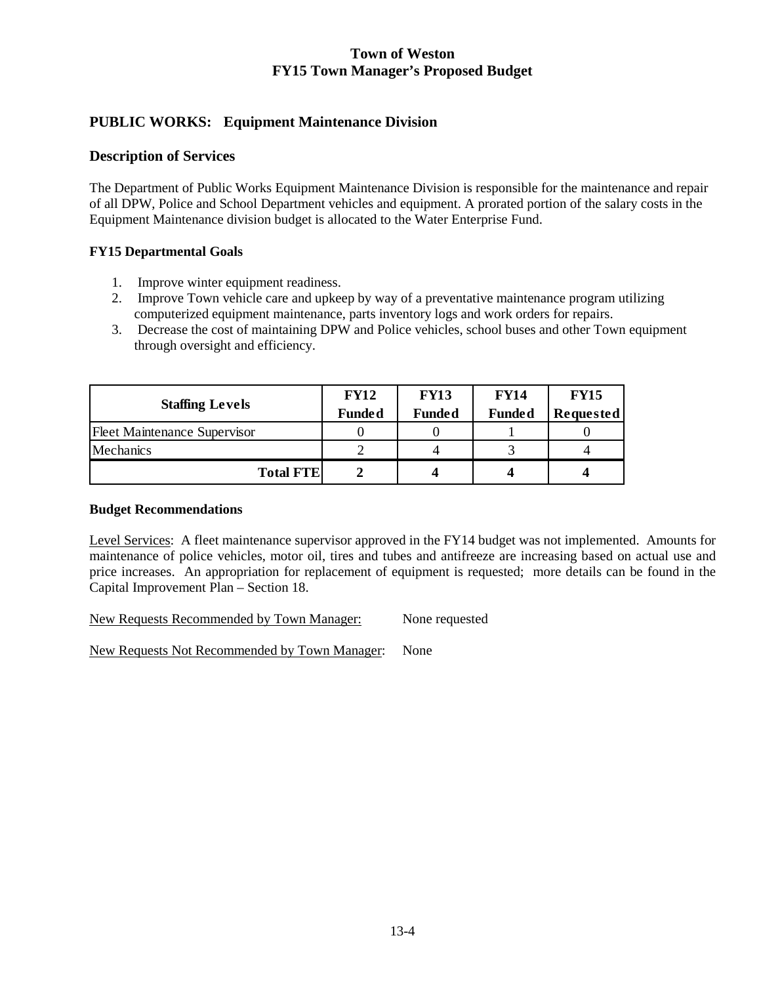# **PUBLIC WORKS: Equipment Maintenance Division**

## **Description of Services**

The Department of Public Works Equipment Maintenance Division is responsible for the maintenance and repair of all DPW, Police and School Department vehicles and equipment. A prorated portion of the salary costs in the Equipment Maintenance division budget is allocated to the Water Enterprise Fund.

## **FY15 Departmental Goals**

- 1. Improve winter equipment readiness.
- 2. Improve Town vehicle care and upkeep by way of a preventative maintenance program utilizing computerized equipment maintenance, parts inventory logs and work orders for repairs.
- 3. Decrease the cost of maintaining DPW and Police vehicles, school buses and other Town equipment through oversight and efficiency.

|                                     | <b>FY12</b>   | <b>FY13</b>   | <b>FY14</b>   | <b>FY15</b>      |
|-------------------------------------|---------------|---------------|---------------|------------------|
| <b>Staffing Levels</b>              | <b>Funded</b> | <b>Funded</b> | <b>Funded</b> | <b>Requested</b> |
| <b>Fleet Maintenance Supervisor</b> |               |               |               |                  |
| Mechanics                           |               |               |               |                  |
| <b>Total FTE</b>                    |               |               |               |                  |

#### **Budget Recommendations**

Level Services: A fleet maintenance supervisor approved in the FY14 budget was not implemented. Amounts for maintenance of police vehicles, motor oil, tires and tubes and antifreeze are increasing based on actual use and price increases. An appropriation for replacement of equipment is requested; more details can be found in the Capital Improvement Plan – Section 18.

New Requests Recommended by Town Manager: None requested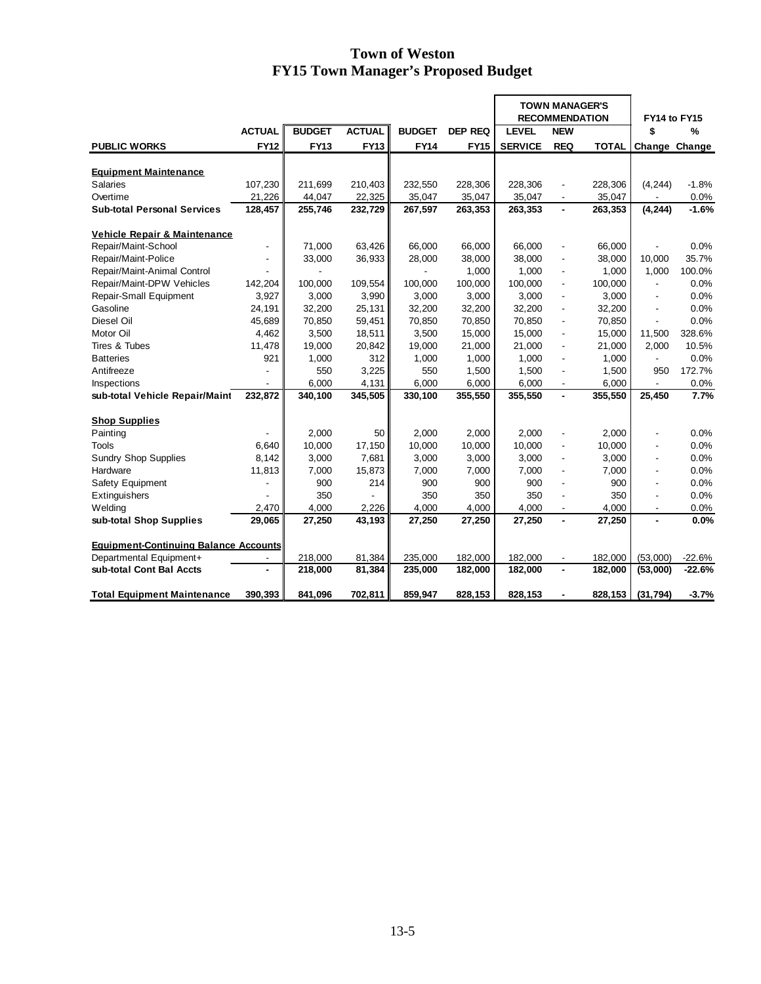|                                              |                          |               |               |               |                | <b>TOWN MANAGER'S</b><br><b>RECOMMENDATION</b> |                          |              | FY14 to FY15             |          |
|----------------------------------------------|--------------------------|---------------|---------------|---------------|----------------|------------------------------------------------|--------------------------|--------------|--------------------------|----------|
|                                              | <b>ACTUAL</b>            | <b>BUDGET</b> | <b>ACTUAL</b> | <b>BUDGET</b> | <b>DEP REQ</b> | <b>LEVEL</b>                                   | <b>NEW</b>               |              | \$                       | %        |
| <b>PUBLIC WORKS</b>                          | <b>FY12</b>              | <b>FY13</b>   | <b>FY13</b>   | <b>FY14</b>   | <b>FY15</b>    | <b>SERVICE</b>                                 | <b>REQ</b>               | <b>TOTAL</b> | Change Change            |          |
|                                              |                          |               |               |               |                |                                                |                          |              |                          |          |
| <b>Equipment Maintenance</b>                 |                          |               |               |               |                |                                                |                          |              |                          |          |
| <b>Salaries</b>                              | 107,230                  | 211,699       | 210,403       | 232,550       | 228,306        | 228,306                                        |                          | 228,306      | (4, 244)                 | $-1.8%$  |
| Overtime                                     | 21,226                   | 44,047        | 22,325        | 35,047        | 35,047         | 35,047                                         |                          | 35,047       |                          | 0.0%     |
| <b>Sub-total Personal Services</b>           | 128,457                  | 255,746       | 232,729       | 267,597       | 263,353        | 263,353                                        | $\blacksquare$           | 263,353      | (4, 244)                 | $-1.6%$  |
| <b>Vehicle Repair &amp; Maintenance</b>      |                          |               |               |               |                |                                                |                          |              |                          |          |
| Repair/Maint-School                          | ÷,                       | 71,000        | 63,426        | 66,000        | 66,000         | 66,000                                         | ÷,                       | 66,000       |                          | 0.0%     |
| Repair/Maint-Police                          |                          | 33,000        | 36,933        | 28,000        | 38,000         | 38,000                                         | $\overline{\phantom{a}}$ | 38,000       | 10,000                   | 35.7%    |
| Repair/Maint-Animal Control                  |                          |               |               |               | 1,000          | 1,000                                          | ÷,                       | 1,000        | 1,000                    | 100.0%   |
| Repair/Maint-DPW Vehicles                    | 142,204                  | 100,000       | 109,554       | 100.000       | 100.000        | 100.000                                        | $\overline{\phantom{a}}$ | 100.000      |                          | 0.0%     |
| <b>Repair-Small Equipment</b>                | 3,927                    | 3,000         | 3,990         | 3,000         | 3,000          | 3,000                                          | $\overline{\phantom{a}}$ | 3,000        |                          | 0.0%     |
| Gasoline                                     | 24,191                   | 32,200        | 25,131        | 32,200        | 32,200         | 32,200                                         | $\overline{\phantom{a}}$ | 32,200       | $\overline{\phantom{a}}$ | 0.0%     |
| Diesel Oil                                   | 45,689                   | 70,850        | 59,451        | 70,850        | 70,850         | 70,850                                         | $\overline{\phantom{a}}$ | 70,850       |                          | 0.0%     |
| Motor Oil                                    | 4,462                    | 3,500         | 18,511        | 3,500         | 15,000         | 15,000                                         | $\overline{\phantom{a}}$ | 15,000       | 11,500                   | 328.6%   |
| Tires & Tubes                                | 11,478                   | 19,000        | 20,842        | 19,000        | 21,000         | 21,000                                         | $\overline{\phantom{a}}$ | 21,000       | 2,000                    | 10.5%    |
| <b>Batteries</b>                             | 921                      | 1,000         | 312           | 1,000         | 1,000          | 1,000                                          | $\overline{\phantom{a}}$ | 1,000        | $\overline{\phantom{a}}$ | 0.0%     |
| Antifreeze                                   |                          | 550           | 3,225         | 550           | 1,500          | 1,500                                          | $\blacksquare$           | 1,500        | 950                      | 172.7%   |
| Inspections                                  |                          | 6,000         | 4,131         | 6,000         | 6,000          | 6,000                                          | $\blacksquare$           | 6,000        | $\overline{a}$           | 0.0%     |
| sub-total Vehicle Repair/Maint               | 232,872                  | 340,100       | 345,505       | 330,100       | 355,550        | 355,550                                        | $\blacksquare$           | 355,550      | 25,450                   | 7.7%     |
| <b>Shop Supplies</b>                         |                          |               |               |               |                |                                                |                          |              |                          |          |
| Painting                                     |                          | 2,000         | 50            | 2,000         | 2,000          | 2,000                                          |                          | 2,000        |                          | $0.0\%$  |
| Tools                                        | 6,640                    | 10,000        | 17,150        | 10,000        | 10,000         | 10,000                                         | $\blacksquare$           | 10,000       |                          | 0.0%     |
| <b>Sundry Shop Supplies</b>                  | 8,142                    | 3,000         | 7,681         | 3,000         | 3,000          | 3.000                                          | $\overline{\phantom{a}}$ | 3.000        |                          | 0.0%     |
| Hardware                                     | 11,813                   | 7,000         | 15,873        | 7,000         | 7,000          | 7,000                                          | ÷,                       | 7,000        |                          | 0.0%     |
| Safety Equipment                             |                          | 900           | 214           | 900           | 900            | 900                                            | $\overline{a}$           | 900          |                          | 0.0%     |
| Extinguishers                                |                          | 350           |               | 350           | 350            | 350                                            | ÷,                       | 350          |                          | 0.0%     |
| Welding                                      | 2,470                    | 4,000         | 2,226         | 4,000         | 4,000          | 4,000                                          | $\overline{\phantom{a}}$ | 4,000        | $\overline{\phantom{a}}$ | 0.0%     |
| sub-total Shop Supplies                      | 29,065                   | 27,250        | 43,193        | 27,250        | 27,250         | 27,250                                         |                          | 27,250       |                          | 0.0%     |
|                                              |                          |               |               |               |                |                                                |                          |              |                          |          |
| <b>Equipment-Continuing Balance Accounts</b> |                          |               |               |               |                |                                                |                          |              |                          |          |
| Departmental Equipment+                      | $\overline{\phantom{a}}$ | 218,000       | 81,384        | 235,000       | 182,000        | 182,000                                        | $\overline{\phantom{a}}$ | 182,000      | (53,000)                 | $-22.6%$ |
| sub-total Cont Bal Accts                     |                          | 218,000       | 81,384        | 235,000       | 182,000        | 182,000                                        | $\blacksquare$           | 182,000      | (53,000)                 | $-22.6%$ |
| <b>Total Equipment Maintenance</b>           | 390,393                  | 841,096       | 702,811       | 859,947       | 828,153        | 828,153                                        |                          | 828,153      | (31, 794)                | $-3.7%$  |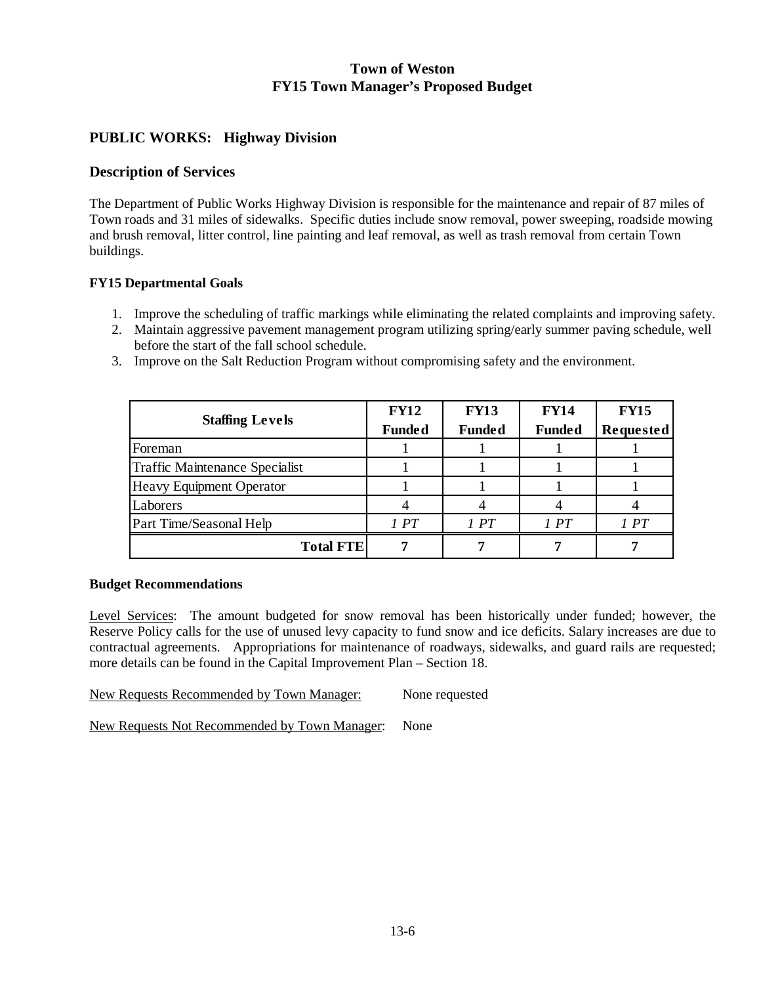## **PUBLIC WORKS: Highway Division**

### **Description of Services**

The Department of Public Works Highway Division is responsible for the maintenance and repair of 87 miles of Town roads and 31 miles of sidewalks. Specific duties include snow removal, power sweeping, roadside mowing and brush removal, litter control, line painting and leaf removal, as well as trash removal from certain Town buildings.

### **FY15 Departmental Goals**

- 1. Improve the scheduling of traffic markings while eliminating the related complaints and improving safety.
- 2. Maintain aggressive pavement management program utilizing spring/early summer paving schedule, well before the start of the fall school schedule.
- 3. Improve on the Salt Reduction Program without compromising safety and the environment.

|                                 | <b>FY12</b>   | <b>FY13</b>   | <b>FY14</b>   | <b>FY15</b> |
|---------------------------------|---------------|---------------|---------------|-------------|
| <b>Staffing Levels</b>          | <b>Funded</b> | <b>Funded</b> | <b>Funded</b> | Requested   |
| Foreman                         |               |               |               |             |
| Traffic Maintenance Specialist  |               |               |               |             |
| <b>Heavy Equipment Operator</b> |               |               |               |             |
| Laborers                        |               |               |               |             |
| Part Time/Seasonal Help         | 1PT           | 1PT           | 1PT           | 1 PT        |
| <b>Total FTE</b>                |               |               |               |             |

#### **Budget Recommendations**

Level Services: The amount budgeted for snow removal has been historically under funded; however, the Reserve Policy calls for the use of unused levy capacity to fund snow and ice deficits. Salary increases are due to contractual agreements. Appropriations for maintenance of roadways, sidewalks, and guard rails are requested; more details can be found in the Capital Improvement Plan – Section 18.

New Requests Recommended by Town Manager: None requested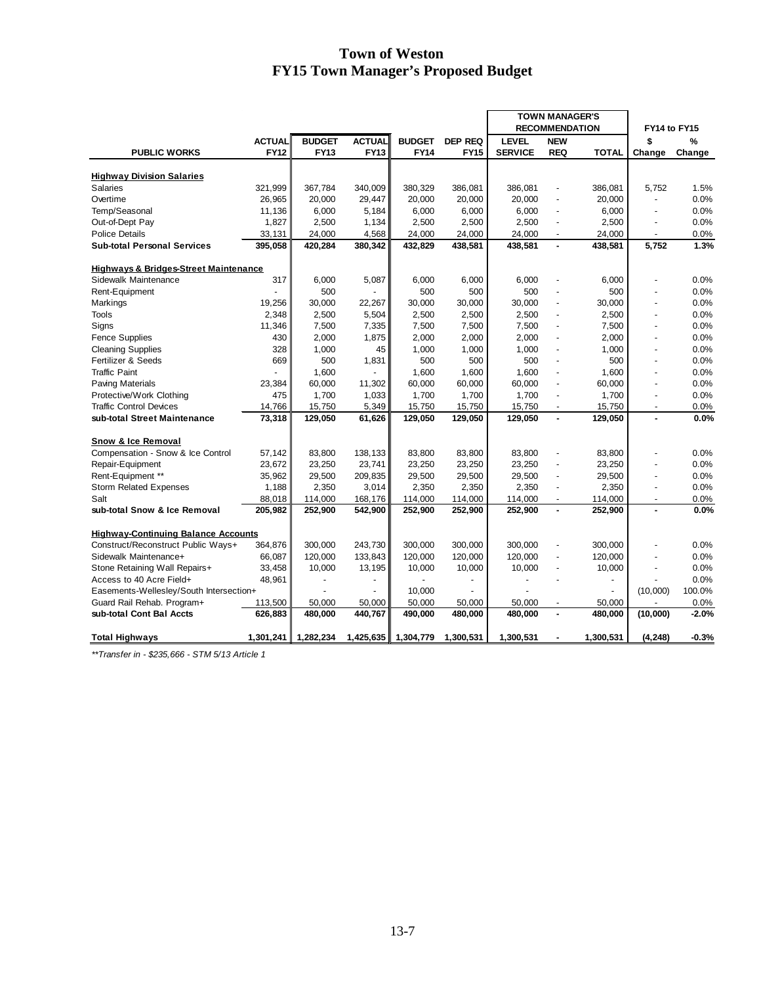|                                                  |               |               |                          |               |                | <b>TOWN MANAGER'S</b> |                          |              |                |         |
|--------------------------------------------------|---------------|---------------|--------------------------|---------------|----------------|-----------------------|--------------------------|--------------|----------------|---------|
|                                                  |               |               |                          |               |                |                       | <b>RECOMMENDATION</b>    |              | FY14 to FY15   |         |
|                                                  | <b>ACTUAL</b> | <b>BUDGET</b> | <b>ACTUAL</b>            | <b>BUDGET</b> | <b>DEP REQ</b> | <b>LEVEL</b>          | <b>NEW</b>               |              | \$             | ℅       |
| <b>PUBLIC WORKS</b>                              | <b>FY12</b>   | <b>FY13</b>   | <b>FY13</b>              | <b>FY14</b>   | <b>FY15</b>    | <b>SERVICE</b>        | <b>REQ</b>               | <b>TOTAL</b> | Change         | Change  |
|                                                  |               |               |                          |               |                |                       |                          |              |                |         |
| <b>Highway Division Salaries</b>                 |               |               |                          |               |                |                       |                          |              |                |         |
| <b>Salaries</b>                                  | 321,999       | 367,784       | 340,009                  | 380,329       | 386,081        | 386,081               | ÷,                       | 386,081      | 5,752          | 1.5%    |
| Overtime                                         | 26,965        | 20,000        | 29,447                   | 20,000        | 20,000         | 20,000                | $\overline{a}$           | 20,000       |                | 0.0%    |
| Temp/Seasonal                                    | 11,136        | 6,000         | 5,184                    | 6,000         | 6,000          | 6,000                 | ÷,                       | 6,000        |                | 0.0%    |
| Out-of-Dept Pay                                  | 1,827         | 2,500         | 1,134                    | 2,500         | 2,500          | 2,500                 | $\overline{a}$           | 2,500        | ä,             | 0.0%    |
| <b>Police Details</b>                            | 33,131        | 24,000        | 4,568                    | 24,000        | 24,000         | 24,000                | $\blacksquare$           | 24,000       |                | 0.0%    |
| <b>Sub-total Personal Services</b>               | 395,058       | 420,284       | 380,342                  | 432,829       | 438,581        | 438,581               | ä,                       | 438,581      | 5,752          | 1.3%    |
|                                                  |               |               |                          |               |                |                       |                          |              |                |         |
| <b>Highways &amp; Bridges-Street Maintenance</b> |               |               |                          |               |                |                       |                          |              |                |         |
| Sidewalk Maintenance                             | 317           | 6,000         | 5,087                    | 6,000         | 6,000          | 6,000                 |                          | 6,000        |                | 0.0%    |
| Rent-Equipment                                   |               | 500           |                          | 500           | 500            | 500                   |                          | 500          |                | 0.0%    |
| Markings                                         | 19,256        | 30,000        | 22,267                   | 30,000        | 30,000         | 30,000                |                          | 30,000       |                | 0.0%    |
| <b>Tools</b>                                     | 2,348         | 2,500         | 5,504                    | 2,500         | 2,500          | 2,500                 | $\blacksquare$           | 2,500        | $\overline{a}$ | 0.0%    |
| Signs                                            | 11,346        | 7,500         | 7,335                    | 7,500         | 7,500          | 7,500                 | ÷,                       | 7,500        |                | 0.0%    |
| <b>Fence Supplies</b>                            | 430           | 2,000         | 1,875                    | 2,000         | 2,000          | 2,000                 | $\overline{a}$           | 2,000        | ٠              | 0.0%    |
| <b>Cleaning Supplies</b>                         | 328           | 1,000         | 45                       | 1,000         | 1,000          | 1,000                 | ÷,                       | 1,000        | ٠              | 0.0%    |
| Fertilizer & Seeds                               | 669           | 500           | 1,831                    | 500           | 500            | 500                   | ÷.                       | 500          | $\overline{a}$ | 0.0%    |
| <b>Traffic Paint</b>                             |               | 1,600         | ÷,                       | 1,600         | 1,600          | 1,600                 | ÷,                       | 1,600        | ä,             | 0.0%    |
| <b>Paving Materials</b>                          | 23,384        | 60,000        | 11,302                   | 60,000        | 60,000         | 60,000                | ÷,                       | 60,000       |                | 0.0%    |
| Protective/Work Clothing                         | 475           | 1,700         | 1,033                    | 1,700         | 1,700          | 1,700                 | $\overline{a}$           | 1,700        |                | 0.0%    |
| <b>Traffic Control Devices</b>                   | 14,766        | 15,750        | 5,349                    | 15,750        | 15,750         | 15,750                | ÷,                       | 15,750       | ٠              | 0.0%    |
| sub-total Street Maintenance                     | 73,318        | 129,050       | 61,626                   | 129,050       | 129,050        | 129,050               | $\blacksquare$           | 129,050      | $\overline{a}$ | 0.0%    |
|                                                  |               |               |                          |               |                |                       |                          |              |                |         |
| Snow & Ice Removal                               |               |               |                          |               |                |                       |                          |              |                |         |
| Compensation - Snow & Ice Control                | 57,142        | 83,800        | 138,133                  | 83,800        | 83,800         | 83,800                | ٠                        | 83,800       |                | 0.0%    |
| Repair-Equipment                                 | 23,672        | 23,250        | 23,741                   | 23,250        | 23,250         | 23,250                | ÷.                       | 23,250       | ÷,             | 0.0%    |
| Rent-Equipment **                                | 35,962        | 29,500        | 209,835                  | 29,500        | 29,500         | 29,500                | ÷,                       | 29,500       |                | 0.0%    |
| <b>Storm Related Expenses</b>                    | 1,188         | 2,350         | 3,014                    | 2,350         | 2,350          | 2,350                 | $\blacksquare$           | 2,350        |                | 0.0%    |
| Salt                                             | 88,018        | 114,000       | 168,176                  | 114,000       | 114,000        | 114,000               | $\blacksquare$           | 114,000      | ÷,             | 0.0%    |
| sub-total Snow & Ice Removal                     | 205,982       | 252,900       | 542,900                  | 252,900       | 252,900        | 252,900               |                          | 252,900      |                | 0.0%    |
| <b>Highway-Continuing Balance Accounts</b>       |               |               |                          |               |                |                       |                          |              |                |         |
| Construct/Reconstruct Public Ways+               | 364,876       | 300,000       | 243,730                  | 300,000       | 300,000        | 300,000               | ÷,                       | 300,000      |                | 0.0%    |
| Sidewalk Maintenance+                            | 66,087        | 120,000       | 133,843                  | 120,000       | 120,000        | 120,000               | $\overline{\phantom{a}}$ | 120,000      |                | 0.0%    |
| Stone Retaining Wall Repairs+                    | 33,458        | 10,000        | 13,195                   | 10,000        | 10,000         | 10,000                | $\overline{a}$           | 10,000       | ÷              | 0.0%    |
| Access to 40 Acre Field+                         | 48,961        | ÷,            | $\overline{\phantom{a}}$ | ÷.            |                | $\tilde{\phantom{a}}$ |                          | ä,           |                | 0.0%    |
| Easements-Wellesley/South Intersection+          |               |               |                          | 10,000        |                |                       |                          | ÷.           | (10,000)       | 100.0%  |
| Guard Rail Rehab. Program+                       | 113,500       | 50,000        | 50,000                   | 50.000        | 50.000         | 50.000                |                          | 50.000       |                | 0.0%    |
| sub-total Cont Bal Accts                         | 626,883       | 480,000       | 440,767                  | 490,000       | 480,000        | 480,000               | ä,                       | 480,000      | (10,000)       | $-2.0%$ |
|                                                  |               |               |                          |               |                |                       |                          |              |                |         |
| Total Highways                                   | 1,301,241     | 1,282,234     | 1,425,635                | 1,304,779     | 1,300,531      | 1,300,531             | $\blacksquare$           | 1,300,531    | (4, 248)       | $-0.3%$ |

*\*\*Transfer in - \$235,666 - STM 5/13 Article 1*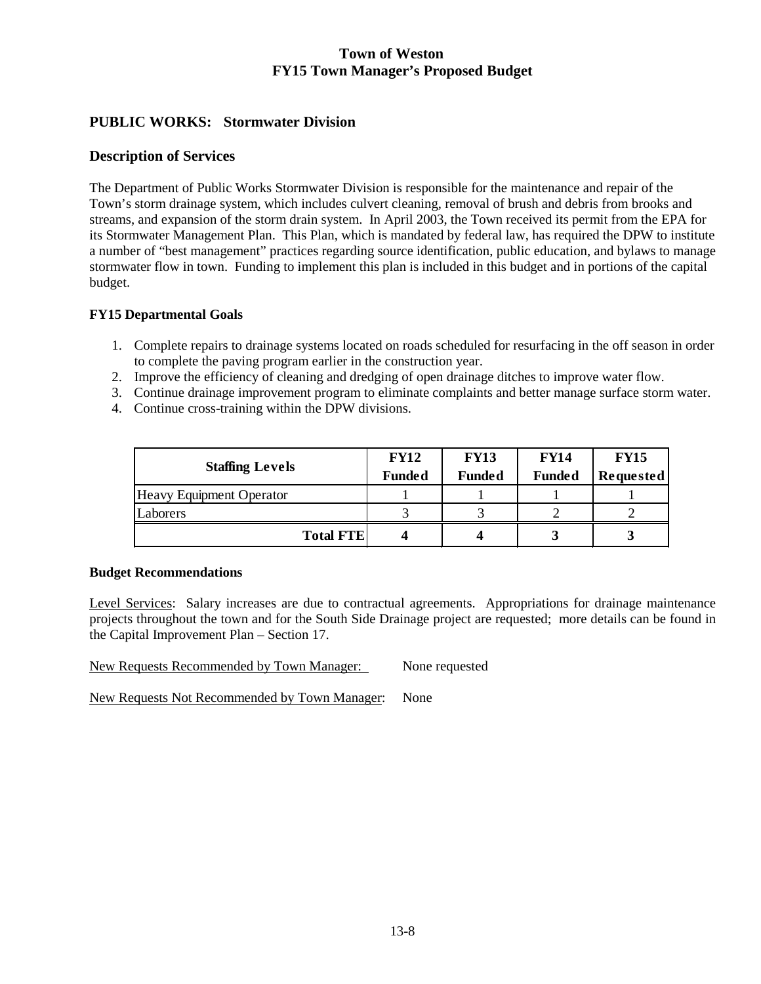# **PUBLIC WORKS: Stormwater Division**

## **Description of Services**

The Department of Public Works Stormwater Division is responsible for the maintenance and repair of the Town's storm drainage system, which includes culvert cleaning, removal of brush and debris from brooks and streams, and expansion of the storm drain system. In April 2003, the Town received its permit from the EPA for its Stormwater Management Plan. This Plan, which is mandated by federal law, has required the DPW to institute a number of "best management" practices regarding source identification, public education, and bylaws to manage stormwater flow in town. Funding to implement this plan is included in this budget and in portions of the capital budget.

## **FY15 Departmental Goals**

- 1. Complete repairs to drainage systems located on roads scheduled for resurfacing in the off season in order to complete the paving program earlier in the construction year.
- 2. Improve the efficiency of cleaning and dredging of open drainage ditches to improve water flow.
- 3. Continue drainage improvement program to eliminate complaints and better manage surface storm water.
- 4. Continue cross-training within the DPW divisions.

| <b>Staffing Levels</b>   | <b>FY12</b><br><b>Funded</b> | <b>FY13</b><br><b>Funded</b> | <b>FY14</b><br><b>Funded</b> | <b>FY15</b><br>Requested |
|--------------------------|------------------------------|------------------------------|------------------------------|--------------------------|
| Heavy Equipment Operator |                              |                              |                              |                          |
| Laborers                 |                              |                              |                              |                          |
| <b>Total FTE</b>         |                              |                              |                              |                          |

#### **Budget Recommendations**

Level Services: Salary increases are due to contractual agreements. Appropriations for drainage maintenance projects throughout the town and for the South Side Drainage project are requested; more details can be found in the Capital Improvement Plan – Section 17.

New Requests Recommended by Town Manager: None requested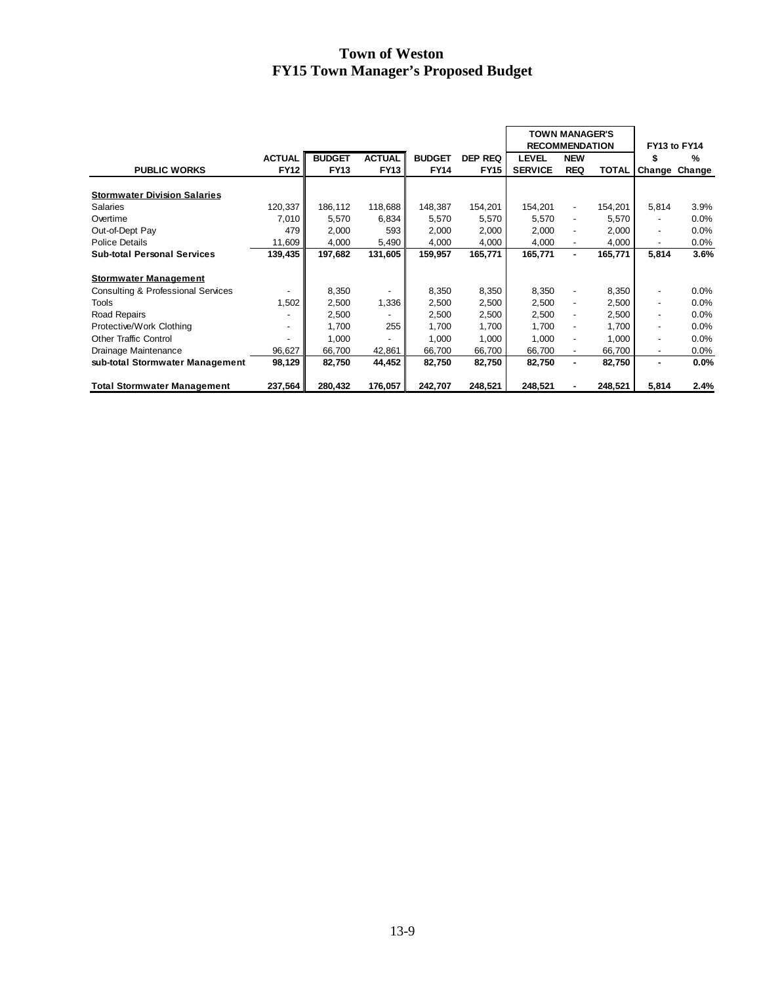|                                               |               |               |               |               |             | <b>TOWN MANAGER'S</b><br><b>RECOMMENDATION</b> |                          |         | FY13 to FY14             |        |  |
|-----------------------------------------------|---------------|---------------|---------------|---------------|-------------|------------------------------------------------|--------------------------|---------|--------------------------|--------|--|
|                                               | <b>ACTUAL</b> | <b>BUDGET</b> | <b>ACTUAL</b> | <b>BUDGET</b> | DEP REQ     | <b>LEVEL</b>                                   | <b>NEW</b>               |         |                          | %      |  |
| <b>PUBLIC WORKS</b>                           | <b>FY12</b>   | <b>FY13</b>   | <b>FY13</b>   | <b>FY14</b>   | <b>FY15</b> | <b>SERVICE</b>                                 | <b>REQ</b>               | TOTAL   | Change                   | Change |  |
|                                               |               |               |               |               |             |                                                |                          |         |                          |        |  |
| <b>Stormwater Division Salaries</b>           |               |               |               |               |             |                                                |                          |         |                          |        |  |
| Salaries                                      | 120,337       | 186,112       | 118,688       | 148,387       | 154,201     | 154,201                                        | $\overline{\phantom{a}}$ | 154,201 | 5,814                    | 3.9%   |  |
| Overtime                                      | 7,010         | 5,570         | 6,834         | 5,570         | 5,570       | 5,570                                          | $\overline{\phantom{a}}$ | 5,570   | $\overline{\phantom{a}}$ | 0.0%   |  |
| Out-of-Dept Pay                               | 479           | 2,000         | 593           | 2,000         | 2,000       | 2,000                                          | $\overline{\phantom{0}}$ | 2,000   | $\overline{\phantom{a}}$ | 0.0%   |  |
| <b>Police Details</b>                         | 11,609        | 4,000         | 5,490         | 4,000         | 4,000       | 4,000                                          | $\overline{\phantom{a}}$ | 4,000   | $\overline{\phantom{a}}$ | 0.0%   |  |
| <b>Sub-total Personal Services</b>            | 139,435       | 197,682       | 131,605       | 159,957       | 165,771     | 165,771                                        | ۰                        | 165,771 | 5,814                    | 3.6%   |  |
| <b>Stormwater Management</b>                  |               |               |               |               |             |                                                |                          |         |                          |        |  |
| <b>Consulting &amp; Professional Services</b> |               | 8,350         |               | 8,350         | 8,350       | 8,350                                          | $\overline{\phantom{a}}$ | 8,350   | $\overline{\phantom{a}}$ | 0.0%   |  |
| Tools                                         | 1,502         | 2,500         | 1,336         | 2,500         | 2,500       | 2,500                                          | $\overline{\phantom{a}}$ | 2,500   | $\overline{\phantom{a}}$ | 0.0%   |  |
| <b>Road Repairs</b>                           |               | 2,500         |               | 2,500         | 2,500       | 2,500                                          | -                        | 2,500   | $\overline{\phantom{0}}$ | 0.0%   |  |
| Protective/Work Clothing                      |               | 1,700         | 255           | 1,700         | 1,700       | 1,700                                          | -                        | 1,700   | $\overline{\phantom{a}}$ | 0.0%   |  |
| Other Traffic Control                         |               | 1,000         |               | 1,000         | 1,000       | 1,000                                          | $\overline{\phantom{0}}$ | 1,000   | $\overline{\phantom{a}}$ | 0.0%   |  |
| Drainage Maintenance                          | 96,627        | 66,700        | 42,861        | 66,700        | 66,700      | 66,700                                         | -                        | 66,700  | $\overline{\phantom{a}}$ | 0.0%   |  |
| sub-total Stormwater Management               | 98,129        | 82,750        | 44,452        | 82,750        | 82,750      | 82,750                                         | ٠                        | 82,750  | ٠                        | 0.0%   |  |
|                                               |               |               |               |               |             |                                                |                          |         |                          |        |  |
| <b>Total Stormwater Management</b>            | 237,564       | 280,432       | 176,057       | 242,707       | 248,521     | 248,521                                        |                          | 248,521 | 5,814                    | 2.4%   |  |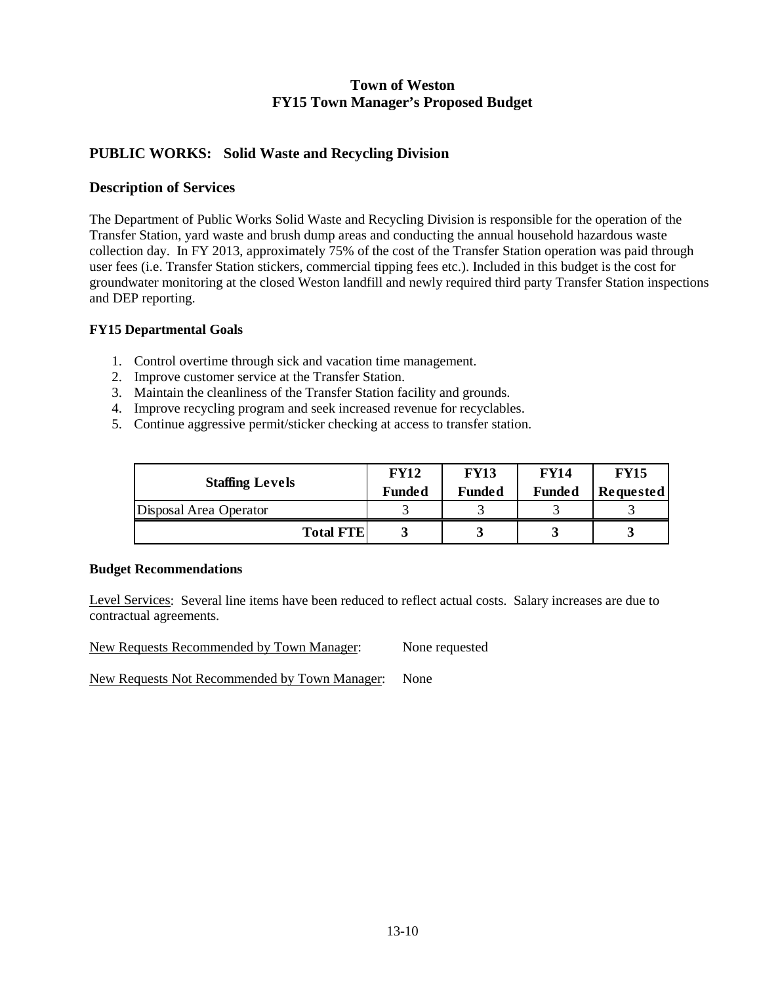## **PUBLIC WORKS: Solid Waste and Recycling Division**

## **Description of Services**

The Department of Public Works Solid Waste and Recycling Division is responsible for the operation of the Transfer Station, yard waste and brush dump areas and conducting the annual household hazardous waste collection day. In FY 2013, approximately 75% of the cost of the Transfer Station operation was paid through user fees (i.e. Transfer Station stickers, commercial tipping fees etc.). Included in this budget is the cost for groundwater monitoring at the closed Weston landfill and newly required third party Transfer Station inspections and DEP reporting.

#### **FY15 Departmental Goals**

- 1. Control overtime through sick and vacation time management.
- 2. Improve customer service at the Transfer Station.
- 3. Maintain the cleanliness of the Transfer Station facility and grounds.
- 4. Improve recycling program and seek increased revenue for recyclables.
- 5. Continue aggressive permit/sticker checking at access to transfer station.

| <b>Staffing Levels</b> | <b>FY12</b>   | <b>FY13</b>   | <b>FY14</b>   | <b>FY15</b> |
|------------------------|---------------|---------------|---------------|-------------|
|                        | <b>Funded</b> | <b>Funded</b> | <b>Funded</b> | Requested   |
| Disposal Area Operator |               |               |               |             |
| <b>Total FTE</b>       |               |               |               |             |

#### **Budget Recommendations**

Level Services: Several line items have been reduced to reflect actual costs. Salary increases are due to contractual agreements.

New Requests Recommended by Town Manager: None requested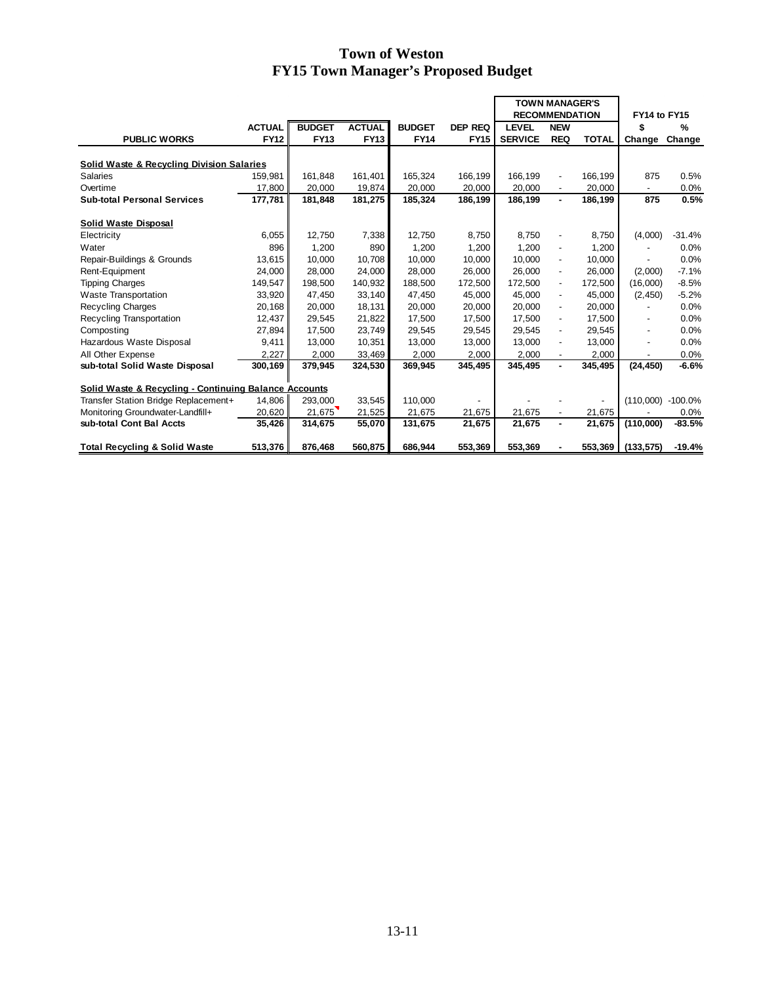|                                                       |               |               |               |               |                | <b>TOWN MANAGER'S</b> |                          |              |                          |            |
|-------------------------------------------------------|---------------|---------------|---------------|---------------|----------------|-----------------------|--------------------------|--------------|--------------------------|------------|
|                                                       |               |               |               |               |                | <b>RECOMMENDATION</b> |                          |              | FY14 to FY15             |            |
|                                                       | <b>ACTUAL</b> | <b>BUDGET</b> | <b>ACTUAL</b> | <b>BUDGET</b> | <b>DEP REQ</b> | <b>LEVEL</b>          | <b>NEW</b>               |              | \$                       | $\%$       |
| <b>PUBLIC WORKS</b>                                   | <b>FY12</b>   | <b>FY13</b>   | <b>FY13</b>   | <b>FY14</b>   | <b>FY15</b>    | <b>SERVICE</b>        | <b>REQ</b>               | <b>TOTAL</b> | Change                   | Change     |
|                                                       |               |               |               |               |                |                       |                          |              |                          |            |
| Solid Waste & Recycling Division Salaries             |               |               |               |               |                |                       |                          |              |                          |            |
| <b>Salaries</b>                                       | 159,981       | 161.848       | 161,401       | 165,324       | 166,199        | 166,199               | $\overline{a}$           | 166,199      | 875                      | 0.5%       |
| Overtime                                              | 17,800        | 20,000        | 19,874        | 20,000        | 20,000         | 20,000                |                          | 20,000       |                          | 0.0%       |
| <b>Sub-total Personal Services</b>                    | 177,781       | 181,848       | 181,275       | 185,324       | 186,199        | 186,199               | ٠                        | 186,199      | 875                      | 0.5%       |
|                                                       |               |               |               |               |                |                       |                          |              |                          |            |
| Solid Waste Disposal                                  |               |               |               |               |                |                       |                          |              |                          |            |
| Electricity                                           | 6,055         | 12,750        | 7,338         | 12,750        | 8,750          | 8,750                 | $\overline{\phantom{m}}$ | 8,750        | (4,000)                  | $-31.4%$   |
| Water                                                 | 896           | 1,200         | 890           | 1,200         | 1,200          | 1.200                 | $\overline{\phantom{m}}$ | 1,200        |                          | 0.0%       |
| Repair-Buildings & Grounds                            | 13,615        | 10,000        | 10,708        | 10,000        | 10,000         | 10,000                | $\overline{\phantom{m}}$ | 10,000       |                          | 0.0%       |
| Rent-Equipment                                        | 24,000        | 28,000        | 24,000        | 28,000        | 26,000         | 26.000                | $\overline{a}$           | 26,000       | (2,000)                  | $-7.1%$    |
| <b>Tipping Charges</b>                                | 149,547       | 198,500       | 140,932       | 188,500       | 172,500        | 172,500               | $\overline{\phantom{a}}$ | 172,500      | (16,000)                 | $-8.5%$    |
| <b>Waste Transportation</b>                           | 33,920        | 47,450        | 33,140        | 47,450        | 45,000         | 45.000                | $\overline{\phantom{a}}$ | 45.000       | (2, 450)                 | $-5.2%$    |
| <b>Recycling Charges</b>                              | 20,168        | 20,000        | 18,131        | 20,000        | 20,000         | 20,000                | $\overline{\phantom{a}}$ | 20,000       |                          | 0.0%       |
| Recycling Transportation                              | 12,437        | 29,545        | 21,822        | 17,500        | 17,500         | 17.500                | $\overline{\phantom{a}}$ | 17.500       | $\blacksquare$           | 0.0%       |
| Composting                                            | 27,894        | 17,500        | 23,749        | 29,545        | 29,545         | 29,545                | $\overline{\phantom{a}}$ | 29,545       |                          | 0.0%       |
| Hazardous Waste Disposal                              | 9,411         | 13,000        | 10,351        | 13,000        | 13,000         | 13,000                | $\overline{a}$           | 13,000       | $\overline{\phantom{a}}$ | 0.0%       |
| All Other Expense                                     | 2,227         | 2,000         | 33,469        | 2,000         | 2,000          | 2,000                 |                          | 2,000        |                          | 0.0%       |
| sub-total Solid Waste Disposal                        | 300,169       | 379,945       | 324,530       | 369,945       | 345,495        | 345,495               | ٠                        | 345,495      | (24, 450)                | $-6.6%$    |
|                                                       |               |               |               |               |                |                       |                          |              |                          |            |
| Solid Waste & Recycling - Continuing Balance Accounts |               |               |               |               |                |                       |                          |              |                          |            |
| Transfer Station Bridge Replacement+                  | 14,806        | 293,000       | 33,545        | 110.000       |                |                       |                          |              | (110,000)                | $-100.0\%$ |
| Monitoring Groundwater-Landfill+                      | 20,620        | 21,675        | 21,525        | 21,675        | 21,675         | 21,675                |                          | 21,675       |                          | 0.0%       |
| sub-total Cont Bal Accts                              | 35,426        | 314,675       | 55,070        | 131,675       | 21,675         | 21,675                | ٠                        | 21,675       | (110,000)                | $-83.5%$   |
|                                                       |               |               |               |               |                |                       |                          |              |                          |            |
| <b>Total Recycling &amp; Solid Waste</b>              | 513,376       | 876,468       | 560,875       | 686,944       | 553,369        | 553,369               |                          | 553,369      | (133, 575)               | $-19.4%$   |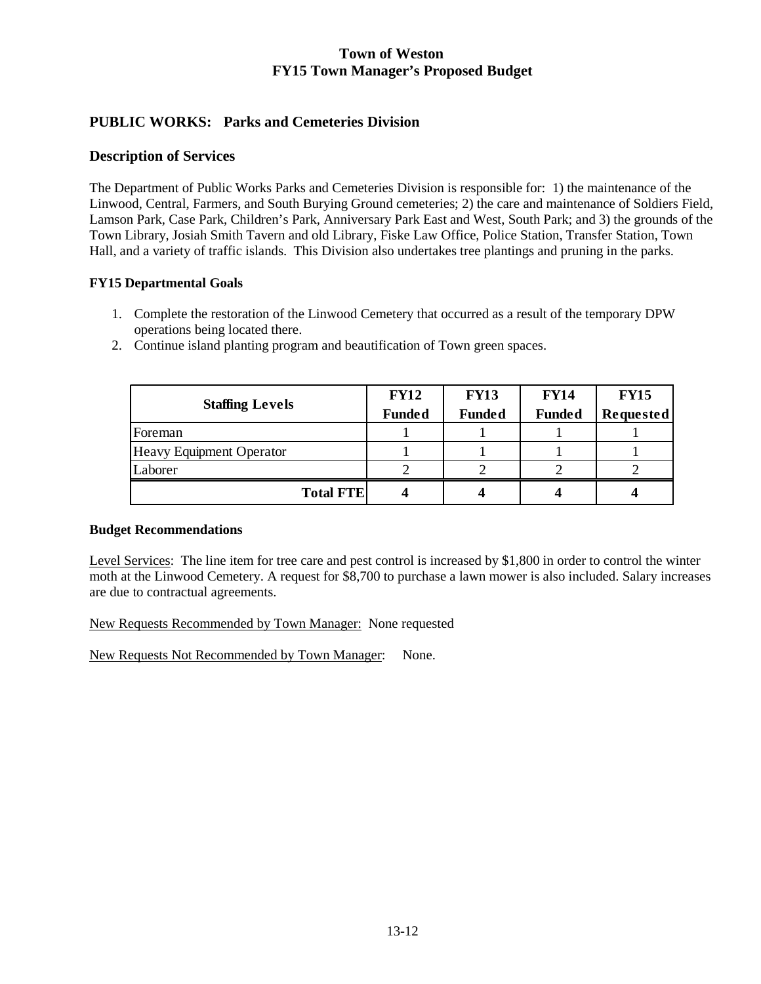# **PUBLIC WORKS: Parks and Cemeteries Division**

## **Description of Services**

The Department of Public Works Parks and Cemeteries Division is responsible for: 1) the maintenance of the Linwood, Central, Farmers, and South Burying Ground cemeteries; 2) the care and maintenance of Soldiers Field, Lamson Park, Case Park, Children's Park, Anniversary Park East and West, South Park; and 3) the grounds of the Town Library, Josiah Smith Tavern and old Library, Fiske Law Office, Police Station, Transfer Station, Town Hall, and a variety of traffic islands. This Division also undertakes tree plantings and pruning in the parks.

### **FY15 Departmental Goals**

1. Complete the restoration of the Linwood Cemetery that occurred as a result of the temporary DPW operations being located there.

| <b>Staffing Levels</b>          | <b>FY12</b>   | <b>FY13</b>   | <b>FY14</b>   | <b>FY15</b>      |
|---------------------------------|---------------|---------------|---------------|------------------|
|                                 | <b>Funded</b> | <b>Funded</b> | <b>Funded</b> | <b>Requested</b> |
| Foreman                         |               |               |               |                  |
| <b>Heavy Equipment Operator</b> |               |               |               |                  |
| Laborer                         |               |               |               |                  |
| <b>Total FTE</b>                |               |               |               |                  |

2. Continue island planting program and beautification of Town green spaces.

## **Budget Recommendations**

Level Services: The line item for tree care and pest control is increased by \$1,800 in order to control the winter moth at the Linwood Cemetery. A request for \$8,700 to purchase a lawn mower is also included. Salary increases are due to contractual agreements.

New Requests Recommended by Town Manager: None requested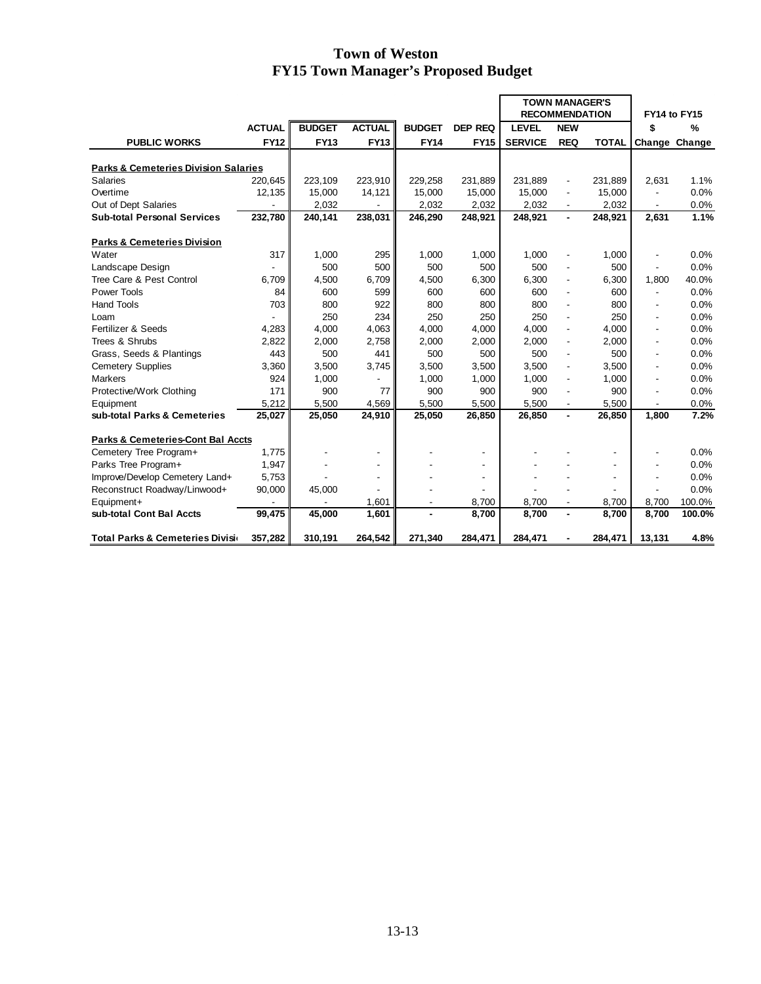|                                                 |               |               |                          |               |                          | <b>TOWN MANAGER'S</b> |                          |              |                          |               |
|-------------------------------------------------|---------------|---------------|--------------------------|---------------|--------------------------|-----------------------|--------------------------|--------------|--------------------------|---------------|
|                                                 |               |               |                          |               |                          | <b>RECOMMENDATION</b> |                          |              | FY14 to FY15             |               |
|                                                 | <b>ACTUAL</b> | <b>BUDGET</b> | <b>ACTUAL</b>            | <b>BUDGET</b> | <b>DEP REQ</b>           | <b>LEVEL</b>          | <b>NEW</b>               |              | \$                       | %             |
| <b>PUBLIC WORKS</b>                             | <b>FY12</b>   | <b>FY13</b>   | <b>FY13</b>              | <b>FY14</b>   | <b>FY15</b>              | <b>SERVICE</b>        | <b>REQ</b>               | <b>TOTAL</b> |                          | Change Change |
|                                                 |               |               |                          |               |                          |                       |                          |              |                          |               |
| <b>Parks &amp; Cemeteries Division Salaries</b> |               |               |                          |               |                          |                       |                          |              |                          |               |
| <b>Salaries</b>                                 | 220,645       | 223,109       | 223,910                  | 229,258       | 231,889                  | 231,889               |                          | 231,889      | 2,631                    | 1.1%          |
| Overtime                                        | 12,135        | 15,000        | 14,121                   | 15,000        | 15,000                   | 15,000                | $\blacksquare$           | 15,000       |                          | 0.0%          |
| Out of Dept Salaries                            |               | 2,032         |                          | 2,032         | 2,032                    | 2,032                 |                          | 2,032        |                          | 0.0%          |
| <b>Sub-total Personal Services</b>              | 232,780       | 240,141       | 238,031                  | 246,290       | 248,921                  | 248,921               | $\blacksquare$           | 248,921      | 2,631                    | 1.1%          |
| <b>Parks &amp; Cemeteries Division</b>          |               |               |                          |               |                          |                       |                          |              |                          |               |
| Water                                           | 317           | 1,000         | 295                      | 1,000         | 1,000                    | 1,000                 |                          | 1,000        |                          | 0.0%          |
| Landscape Design                                |               | 500           | 500                      | 500           | 500                      | 500                   | $\blacksquare$           | 500          | $\overline{\phantom{a}}$ | 0.0%          |
| Tree Care & Pest Control                        | 6,709         | 4,500         | 6.709                    | 4,500         | 6,300                    | 6,300                 | $\blacksquare$           | 6,300        | 1.800                    | 40.0%         |
| Power Tools                                     | 84            | 600           | 599                      | 600           | 600                      | 600                   | $\overline{\phantom{a}}$ | 600          |                          | 0.0%          |
| <b>Hand Tools</b>                               | 703           | 800           | 922                      | 800           | 800                      | 800                   |                          | 800          |                          | 0.0%          |
| Loam                                            |               | 250           | 234                      | 250           | 250                      | 250                   | $\overline{\phantom{a}}$ | 250          |                          | 0.0%          |
| Fertilizer & Seeds                              | 4,283         | 4,000         | 4,063                    | 4,000         | 4,000                    | 4,000                 | $\ddot{\phantom{a}}$     | 4.000        |                          | 0.0%          |
| Trees & Shrubs                                  | 2,822         | 2,000         | 2,758                    | 2,000         | 2,000                    | 2,000                 | $\blacksquare$           | 2,000        |                          | 0.0%          |
| Grass, Seeds & Plantings                        | 443           | 500           | 441                      | 500           | 500                      | 500                   |                          | 500          |                          | 0.0%          |
| <b>Cemetery Supplies</b>                        | 3,360         | 3,500         | 3,745                    | 3,500         | 3,500                    | 3,500                 | $\blacksquare$           | 3,500        |                          | 0.0%          |
| <b>Markers</b>                                  | 924           | 1,000         |                          | 1,000         | 1,000                    | 1,000                 | $\overline{\phantom{a}}$ | 1,000        | $\overline{\phantom{a}}$ | 0.0%          |
| Protective/Work Clothing                        | 171           | 900           | 77                       | 900           | 900                      | 900                   | $\blacksquare$           | 900          |                          | 0.0%          |
| Equipment                                       | 5,212         | 5,500         | 4,569                    | 5,500         | 5,500                    | 5,500                 |                          | 5,500        |                          | 0.0%          |
| sub-total Parks & Cemeteries                    | 25,027        | 25,050        | 24,910                   | 25,050        | 26,850                   | 26,850                | $\blacksquare$           | 26,850       | 1.800                    | 7.2%          |
|                                                 |               |               |                          |               |                          |                       |                          |              |                          |               |
| <b>Parks &amp; Cemeteries-Cont Bal Accts</b>    |               |               |                          |               |                          |                       |                          |              |                          |               |
| Cemetery Tree Program+                          | 1,775         |               | $\overline{\phantom{a}}$ |               |                          |                       |                          |              |                          | 0.0%          |
| Parks Tree Program+                             | 1,947         |               | $\blacksquare$           |               |                          |                       |                          |              |                          | 0.0%          |
| Improve/Develop Cemetery Land+                  | 5,753         |               | $\overline{\phantom{a}}$ |               | $\overline{\phantom{a}}$ |                       |                          |              |                          | 0.0%          |
| Reconstruct Roadway/Linwood+                    | 90,000        | 45,000        |                          |               |                          |                       |                          |              |                          | 0.0%          |
| Equipment+                                      |               |               | 1,601                    | ٠             | 8,700                    | 8,700                 | $\overline{\phantom{a}}$ | 8,700        | 8,700                    | 100.0%        |
| sub-total Cont Bal Accts                        | 99,475        | 45,000        | 1,601                    |               | 8,700                    | 8,700                 |                          | 8.700        | 8,700                    | 100.0%        |
| Total Parks & Cemeteries Division               | 357,282       | 310,191       | 264,542                  | 271,340       | 284,471                  | 284,471               |                          | 284,471      | 13,131                   | 4.8%          |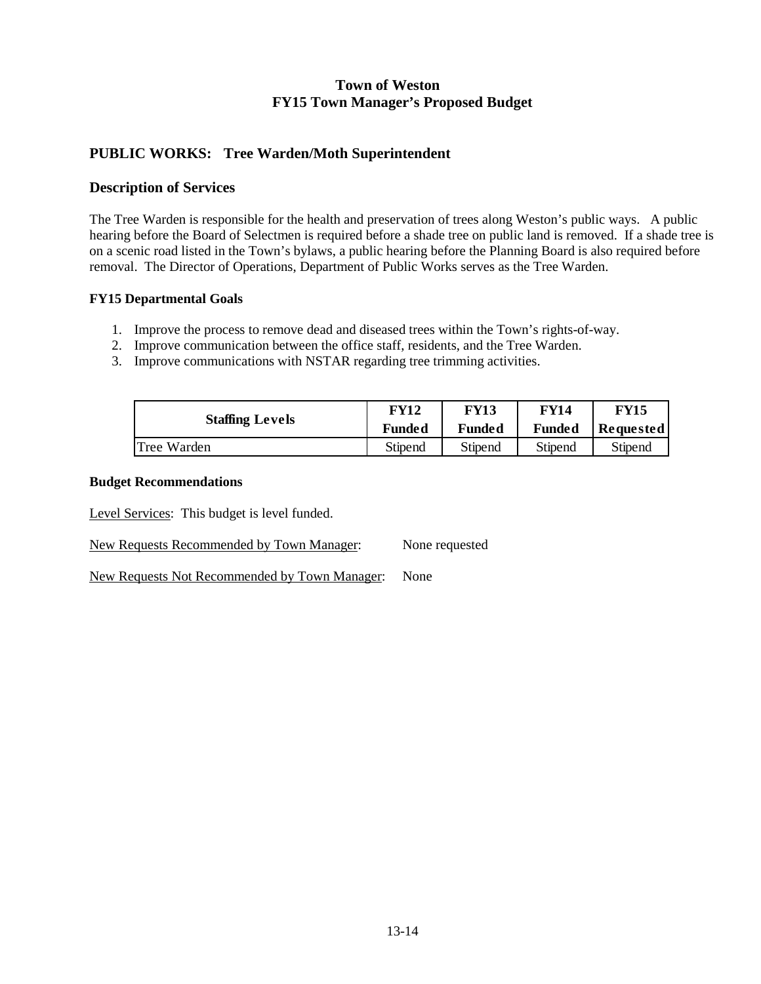## **PUBLIC WORKS: Tree Warden/Moth Superintendent**

## **Description of Services**

The Tree Warden is responsible for the health and preservation of trees along Weston's public ways. A public hearing before the Board of Selectmen is required before a shade tree on public land is removed. If a shade tree is on a scenic road listed in the Town's bylaws, a public hearing before the Planning Board is also required before removal. The Director of Operations, Department of Public Works serves as the Tree Warden.

### **FY15 Departmental Goals**

- 1. Improve the process to remove dead and diseased trees within the Town's rights-of-way.
- 2. Improve communication between the office staff, residents, and the Tree Warden.
- 3. Improve communications with NSTAR regarding tree trimming activities.

| <b>Staffing Levels</b> | FY12    | <b>FY13</b>   | FY14          | <b>FY15</b>      |  |
|------------------------|---------|---------------|---------------|------------------|--|
|                        | Funded  | <b>Funded</b> | <b>Funded</b> | <b>Requested</b> |  |
| Tree Warden            | Stipend | Stipend       | Stipend       | Stipend          |  |

#### **Budget Recommendations**

Level Services: This budget is level funded.

New Requests Recommended by Town Manager: None requested